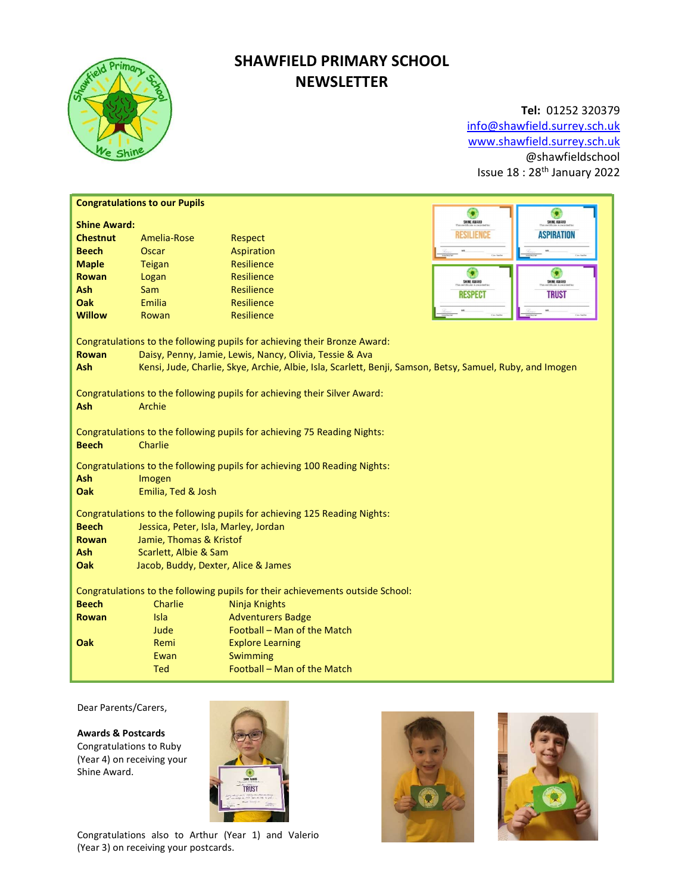

# SHAWFIELD PRIMARY SCHOOL **NEWSLETTER**

# Tel: 01252 320379 info@shawfield.surrey.sch.uk www.shawfield.surrey.sch.uk

@shawfieldschool Issue 18 : 28th January 2022

| SHINE AWARD<br>SHINE AWARD<br><b>Shine Award:</b><br><b>ASPIRATION</b><br>RESILIENCE<br><b>Chestnut</b><br>Amelia-Rose<br><b>Respect</b><br><b>Beech</b><br><b>Oscar</b><br>Aspiration<br><b>Resilience</b><br><b>Maple</b><br><b>Teigan</b><br>o<br><b>Resilience</b><br><b>Rowan</b><br>Logan<br>SHINE AWARD<br>SHINE AWARD<br><b>Ash</b><br><b>Resilience</b><br><b>Sam</b><br><b>RESPECT</b><br><b>TRUST</b><br>Oak<br>Emilia<br>Resilience<br><b>Willow</b><br><b>Resilience</b><br>Rowan<br>Congratulations to the following pupils for achieving their Bronze Award:<br><b>Rowan</b><br>Daisy, Penny, Jamie, Lewis, Nancy, Olivia, Tessie & Ava<br><b>Ash</b><br>Kensi, Jude, Charlie, Skye, Archie, Albie, Isla, Scarlett, Benji, Samson, Betsy, Samuel, Ruby, and Imogen<br>Congratulations to the following pupils for achieving their Silver Award:<br><b>Ash</b><br>Archie<br>Congratulations to the following pupils for achieving 75 Reading Nights:<br><b>Beech</b><br>Charlie<br>Congratulations to the following pupils for achieving 100 Reading Nights:<br><b>Ash</b><br>Imogen<br>Emilia, Ted & Josh<br>Oak<br>Congratulations to the following pupils for achieving 125 Reading Nights:<br><b>Beech</b><br>Jessica, Peter, Isla, Marley, Jordan<br>Jamie, Thomas & Kristof<br><b>Rowan</b><br>Scarlett, Albie & Sam<br>Ash<br>Oak<br>Jacob, Buddy, Dexter, Alice & James<br>Congratulations to the following pupils for their achievements outside School:<br><b>Beech</b><br>Charlie<br>Ninja Knights<br><b>Adventurers Badge</b><br><b>Rowan</b><br>Isla<br>Football - Man of the Match<br>Jude<br>Oak<br>Remi<br><b>Explore Learning</b><br>Swimming<br>Ewan | <b>Congratulations to our Pupils</b> |            |                             |   |  |  |  |
|--------------------------------------------------------------------------------------------------------------------------------------------------------------------------------------------------------------------------------------------------------------------------------------------------------------------------------------------------------------------------------------------------------------------------------------------------------------------------------------------------------------------------------------------------------------------------------------------------------------------------------------------------------------------------------------------------------------------------------------------------------------------------------------------------------------------------------------------------------------------------------------------------------------------------------------------------------------------------------------------------------------------------------------------------------------------------------------------------------------------------------------------------------------------------------------------------------------------------------------------------------------------------------------------------------------------------------------------------------------------------------------------------------------------------------------------------------------------------------------------------------------------------------------------------------------------------------------------------------------------------------------------------------------------------------------|--------------------------------------|------------|-----------------------------|---|--|--|--|
|                                                                                                                                                                                                                                                                                                                                                                                                                                                                                                                                                                                                                                                                                                                                                                                                                                                                                                                                                                                                                                                                                                                                                                                                                                                                                                                                                                                                                                                                                                                                                                                                                                                                                      |                                      |            |                             | G |  |  |  |
|                                                                                                                                                                                                                                                                                                                                                                                                                                                                                                                                                                                                                                                                                                                                                                                                                                                                                                                                                                                                                                                                                                                                                                                                                                                                                                                                                                                                                                                                                                                                                                                                                                                                                      |                                      |            |                             |   |  |  |  |
|                                                                                                                                                                                                                                                                                                                                                                                                                                                                                                                                                                                                                                                                                                                                                                                                                                                                                                                                                                                                                                                                                                                                                                                                                                                                                                                                                                                                                                                                                                                                                                                                                                                                                      |                                      |            |                             |   |  |  |  |
|                                                                                                                                                                                                                                                                                                                                                                                                                                                                                                                                                                                                                                                                                                                                                                                                                                                                                                                                                                                                                                                                                                                                                                                                                                                                                                                                                                                                                                                                                                                                                                                                                                                                                      |                                      |            |                             |   |  |  |  |
|                                                                                                                                                                                                                                                                                                                                                                                                                                                                                                                                                                                                                                                                                                                                                                                                                                                                                                                                                                                                                                                                                                                                                                                                                                                                                                                                                                                                                                                                                                                                                                                                                                                                                      |                                      |            |                             |   |  |  |  |
|                                                                                                                                                                                                                                                                                                                                                                                                                                                                                                                                                                                                                                                                                                                                                                                                                                                                                                                                                                                                                                                                                                                                                                                                                                                                                                                                                                                                                                                                                                                                                                                                                                                                                      |                                      |            |                             |   |  |  |  |
|                                                                                                                                                                                                                                                                                                                                                                                                                                                                                                                                                                                                                                                                                                                                                                                                                                                                                                                                                                                                                                                                                                                                                                                                                                                                                                                                                                                                                                                                                                                                                                                                                                                                                      |                                      |            |                             |   |  |  |  |
|                                                                                                                                                                                                                                                                                                                                                                                                                                                                                                                                                                                                                                                                                                                                                                                                                                                                                                                                                                                                                                                                                                                                                                                                                                                                                                                                                                                                                                                                                                                                                                                                                                                                                      |                                      |            |                             |   |  |  |  |
|                                                                                                                                                                                                                                                                                                                                                                                                                                                                                                                                                                                                                                                                                                                                                                                                                                                                                                                                                                                                                                                                                                                                                                                                                                                                                                                                                                                                                                                                                                                                                                                                                                                                                      |                                      |            |                             |   |  |  |  |
|                                                                                                                                                                                                                                                                                                                                                                                                                                                                                                                                                                                                                                                                                                                                                                                                                                                                                                                                                                                                                                                                                                                                                                                                                                                                                                                                                                                                                                                                                                                                                                                                                                                                                      |                                      |            |                             |   |  |  |  |
|                                                                                                                                                                                                                                                                                                                                                                                                                                                                                                                                                                                                                                                                                                                                                                                                                                                                                                                                                                                                                                                                                                                                                                                                                                                                                                                                                                                                                                                                                                                                                                                                                                                                                      |                                      |            |                             |   |  |  |  |
|                                                                                                                                                                                                                                                                                                                                                                                                                                                                                                                                                                                                                                                                                                                                                                                                                                                                                                                                                                                                                                                                                                                                                                                                                                                                                                                                                                                                                                                                                                                                                                                                                                                                                      |                                      |            |                             |   |  |  |  |
|                                                                                                                                                                                                                                                                                                                                                                                                                                                                                                                                                                                                                                                                                                                                                                                                                                                                                                                                                                                                                                                                                                                                                                                                                                                                                                                                                                                                                                                                                                                                                                                                                                                                                      |                                      |            |                             |   |  |  |  |
|                                                                                                                                                                                                                                                                                                                                                                                                                                                                                                                                                                                                                                                                                                                                                                                                                                                                                                                                                                                                                                                                                                                                                                                                                                                                                                                                                                                                                                                                                                                                                                                                                                                                                      |                                      |            |                             |   |  |  |  |
|                                                                                                                                                                                                                                                                                                                                                                                                                                                                                                                                                                                                                                                                                                                                                                                                                                                                                                                                                                                                                                                                                                                                                                                                                                                                                                                                                                                                                                                                                                                                                                                                                                                                                      |                                      |            |                             |   |  |  |  |
|                                                                                                                                                                                                                                                                                                                                                                                                                                                                                                                                                                                                                                                                                                                                                                                                                                                                                                                                                                                                                                                                                                                                                                                                                                                                                                                                                                                                                                                                                                                                                                                                                                                                                      |                                      |            |                             |   |  |  |  |
|                                                                                                                                                                                                                                                                                                                                                                                                                                                                                                                                                                                                                                                                                                                                                                                                                                                                                                                                                                                                                                                                                                                                                                                                                                                                                                                                                                                                                                                                                                                                                                                                                                                                                      |                                      |            |                             |   |  |  |  |
|                                                                                                                                                                                                                                                                                                                                                                                                                                                                                                                                                                                                                                                                                                                                                                                                                                                                                                                                                                                                                                                                                                                                                                                                                                                                                                                                                                                                                                                                                                                                                                                                                                                                                      |                                      |            |                             |   |  |  |  |
|                                                                                                                                                                                                                                                                                                                                                                                                                                                                                                                                                                                                                                                                                                                                                                                                                                                                                                                                                                                                                                                                                                                                                                                                                                                                                                                                                                                                                                                                                                                                                                                                                                                                                      |                                      |            |                             |   |  |  |  |
|                                                                                                                                                                                                                                                                                                                                                                                                                                                                                                                                                                                                                                                                                                                                                                                                                                                                                                                                                                                                                                                                                                                                                                                                                                                                                                                                                                                                                                                                                                                                                                                                                                                                                      |                                      |            |                             |   |  |  |  |
|                                                                                                                                                                                                                                                                                                                                                                                                                                                                                                                                                                                                                                                                                                                                                                                                                                                                                                                                                                                                                                                                                                                                                                                                                                                                                                                                                                                                                                                                                                                                                                                                                                                                                      |                                      |            |                             |   |  |  |  |
|                                                                                                                                                                                                                                                                                                                                                                                                                                                                                                                                                                                                                                                                                                                                                                                                                                                                                                                                                                                                                                                                                                                                                                                                                                                                                                                                                                                                                                                                                                                                                                                                                                                                                      |                                      |            |                             |   |  |  |  |
|                                                                                                                                                                                                                                                                                                                                                                                                                                                                                                                                                                                                                                                                                                                                                                                                                                                                                                                                                                                                                                                                                                                                                                                                                                                                                                                                                                                                                                                                                                                                                                                                                                                                                      |                                      |            |                             |   |  |  |  |
|                                                                                                                                                                                                                                                                                                                                                                                                                                                                                                                                                                                                                                                                                                                                                                                                                                                                                                                                                                                                                                                                                                                                                                                                                                                                                                                                                                                                                                                                                                                                                                                                                                                                                      |                                      |            |                             |   |  |  |  |
|                                                                                                                                                                                                                                                                                                                                                                                                                                                                                                                                                                                                                                                                                                                                                                                                                                                                                                                                                                                                                                                                                                                                                                                                                                                                                                                                                                                                                                                                                                                                                                                                                                                                                      |                                      |            |                             |   |  |  |  |
|                                                                                                                                                                                                                                                                                                                                                                                                                                                                                                                                                                                                                                                                                                                                                                                                                                                                                                                                                                                                                                                                                                                                                                                                                                                                                                                                                                                                                                                                                                                                                                                                                                                                                      |                                      |            |                             |   |  |  |  |
|                                                                                                                                                                                                                                                                                                                                                                                                                                                                                                                                                                                                                                                                                                                                                                                                                                                                                                                                                                                                                                                                                                                                                                                                                                                                                                                                                                                                                                                                                                                                                                                                                                                                                      |                                      |            |                             |   |  |  |  |
|                                                                                                                                                                                                                                                                                                                                                                                                                                                                                                                                                                                                                                                                                                                                                                                                                                                                                                                                                                                                                                                                                                                                                                                                                                                                                                                                                                                                                                                                                                                                                                                                                                                                                      |                                      |            |                             |   |  |  |  |
|                                                                                                                                                                                                                                                                                                                                                                                                                                                                                                                                                                                                                                                                                                                                                                                                                                                                                                                                                                                                                                                                                                                                                                                                                                                                                                                                                                                                                                                                                                                                                                                                                                                                                      |                                      |            |                             |   |  |  |  |
|                                                                                                                                                                                                                                                                                                                                                                                                                                                                                                                                                                                                                                                                                                                                                                                                                                                                                                                                                                                                                                                                                                                                                                                                                                                                                                                                                                                                                                                                                                                                                                                                                                                                                      |                                      |            |                             |   |  |  |  |
|                                                                                                                                                                                                                                                                                                                                                                                                                                                                                                                                                                                                                                                                                                                                                                                                                                                                                                                                                                                                                                                                                                                                                                                                                                                                                                                                                                                                                                                                                                                                                                                                                                                                                      |                                      |            |                             |   |  |  |  |
|                                                                                                                                                                                                                                                                                                                                                                                                                                                                                                                                                                                                                                                                                                                                                                                                                                                                                                                                                                                                                                                                                                                                                                                                                                                                                                                                                                                                                                                                                                                                                                                                                                                                                      |                                      |            |                             |   |  |  |  |
|                                                                                                                                                                                                                                                                                                                                                                                                                                                                                                                                                                                                                                                                                                                                                                                                                                                                                                                                                                                                                                                                                                                                                                                                                                                                                                                                                                                                                                                                                                                                                                                                                                                                                      |                                      |            |                             |   |  |  |  |
|                                                                                                                                                                                                                                                                                                                                                                                                                                                                                                                                                                                                                                                                                                                                                                                                                                                                                                                                                                                                                                                                                                                                                                                                                                                                                                                                                                                                                                                                                                                                                                                                                                                                                      |                                      | <b>Ted</b> | Football - Man of the Match |   |  |  |  |

Dear Parents/Carers,

Awards & Postcards Congratulations to Ruby (Year 4) on receiving your Shine Award.



Congratulations also to Arthur (Year 1) and Valerio (Year 3) on receiving your postcards.



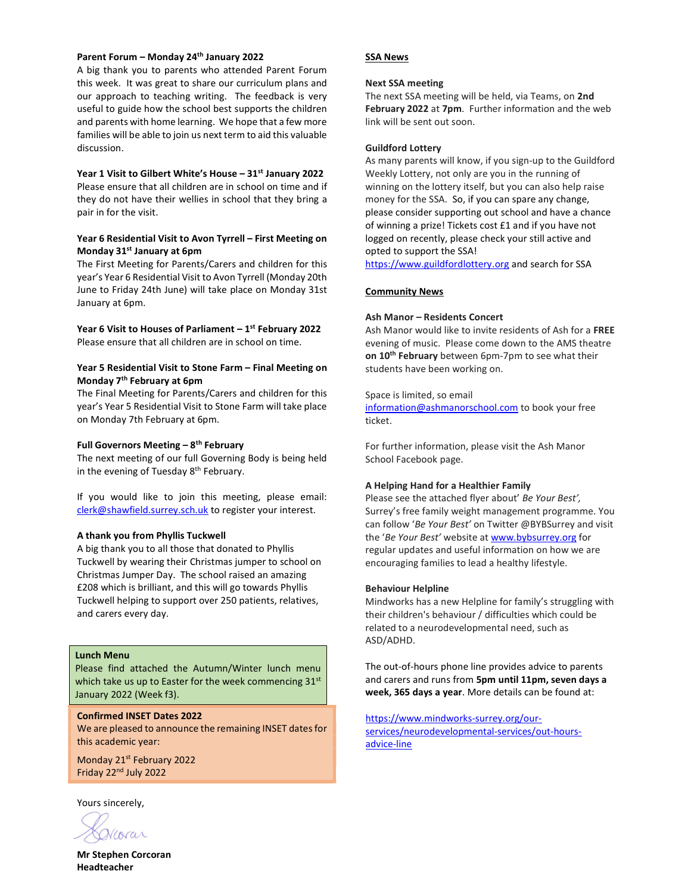# Parent Forum – Monday 24th January 2022

A big thank you to parents who attended Parent Forum this week. It was great to share our curriculum plans and our approach to teaching writing. The feedback is very useful to guide how the school best supports the children and parents with home learning. We hope that a few more families will be able to join us next term to aid this valuable discussion.

#### Year 1 Visit to Gilbert White's House - 31st January 2022

Please ensure that all children are in school on time and if they do not have their wellies in school that they bring a pair in for the visit.

# Year 6 Residential Visit to Avon Tyrrell – First Meeting on Monday 31st January at 6pm

The First Meeting for Parents/Carers and children for this year's Year 6 Residential Visit to Avon Tyrrell (Monday 20th June to Friday 24th June) will take place on Monday 31st January at 6pm.

Year 6 Visit to Houses of Parliament  $-1^{st}$  February 2022 Please ensure that all children are in school on time.

### Year 5 Residential Visit to Stone Farm – Final Meeting on Monday 7th February at 6pm

The Final Meeting for Parents/Carers and children for this year's Year 5 Residential Visit to Stone Farm will take place on Monday 7th February at 6pm.

# Full Governors Meeting  $-8$ <sup>th</sup> February

The next meeting of our full Governing Body is being held in the evening of Tuesday 8<sup>th</sup> February.

If you would like to join this meeting, please email: clerk@shawfield.surrey.sch.uk to register your interest.

#### A thank you from Phyllis Tuckwell

A big thank you to all those that donated to Phyllis Tuckwell by wearing their Christmas jumper to school on Christmas Jumper Day. The school raised an amazing £208 which is brilliant, and this will go towards Phyllis Tuckwell helping to support over 250 patients, relatives, and carers every day.

# Lunch Menu

Please find attached the Autumn/Winter lunch menu which take us up to Easter for the week commencing  $31<sup>st</sup>$ January 2022 (Week f3).

#### Confirmed INSET Dates 2022

We are pleased to announce the remaining INSET dates for this academic year:

Monday 21<sup>st</sup> February 2022 Friday 22nd July 2022

Yours sincerely,

SSA News

# Next SSA meeting

The next SSA meeting will be held, via Teams, on 2nd February 2022 at 7pm. Further information and the web link will be sent out soon.

#### Guildford Lottery

As many parents will know, if you sign-up to the Guildford Weekly Lottery, not only are you in the running of winning on the lottery itself, but you can also help raise money for the SSA. So, if you can spare any change, please consider supporting out school and have a chance of winning a prize! Tickets cost £1 and if you have not logged on recently, please check your still active and opted to support the SSA!

https://www.guildfordlottery.org and search for SSA

# Community News

# Ash Manor – Residents Concert

Ash Manor would like to invite residents of Ash for a FREE evening of music. Please come down to the AMS theatre on 10<sup>th</sup> February between 6pm-7pm to see what their students have been working on.

#### Space is limited, so email

information@ashmanorschool.com to book your free ticket.

For further information, please visit the Ash Manor School Facebook page.

### A Helping Hand for a Healthier Family

Please see the attached flyer about' Be Your Best', Surrey's free family weight management programme. You can follow 'Be Your Best' on Twitter @BYBSurrey and visit the 'Be Your Best' website at www.bybsurrey.org for regular updates and useful information on how we are encouraging families to lead a healthy lifestyle.

#### Behaviour Helpline

Mindworks has a new Helpline for family's struggling with their children's behaviour / difficulties which could be related to a neurodevelopmental need, such as ASD/ADHD.

The out-of-hours phone line provides advice to parents and carers and runs from 5pm until 11pm, seven days a week, 365 days a year. More details can be found at:

https://www.mindworks-surrey.org/ourservices/neurodevelopmental-services/out-hoursadvice-line

Mr Stephen Corcoran Headteacher